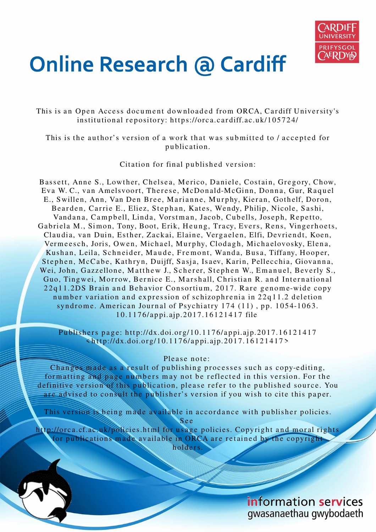

# **Online Research @ Cardiff**

This is an Open Access document downloaded from ORCA, Cardiff University's institutional repository: https://orca.cardiff.ac.uk/105724/

This is the author's version of a work that was submitted to / accepted for p u blication.

Citation for final published version:

Bassett, Anne S., Lowther, Chelsea, Merico, Daniele, Costain, Gregory, Chow, Eva W. C., van Amelsvoort, Therese, McDonald-McGinn, Donna, Gur, Raquel E., Swillen, Ann, Van Den Bree, Marianne, Murphy, Kieran, Gothelf, Doron, Bearden, Carrie E., Eliez, Stephan, Kates, Wendy, Philip, Nicole, Sashi, Vandana, Campbell, Linda, Vorstman, Jacob, Cubells, Joseph, Repetto, Gabriela M., Simon, Tony, Boot, Erik, Heung, Tracy, Evers, Rens, Vingerhoets, Claudia, van Duin, Esther, Zackai, Elaine, Vergaelen, Elfi, Devriendt, Koen, Vermeesch, Joris, Owen, Michael, Murphy, Clodagh, Michaelovosky, Elena, Kushan, Leila, Schneider, Maude, Fremont, Wanda, Busa, Tiffany, Hooper, Stephen, McCabe, Kathryn, Duijff, Sasja, Isaev, Karin, Pellecchia, Giovanna, Wei, John, Gazzellone, Matthew J., Scherer, Stephen W., Emanuel, Beverly S., Guo, Tingwei, Morrow, Bernice E., Marshall, Christian R. and International 22q11.2DS Brain and Behavior Consortium, 2017. Rare genome-wide copy number variation and expression of schizophrenia in 22q11.2 deletion syndrome. American Journal of Psychiatry  $174$  (11), pp. 1054-1063. 1 0.11 7 6/a p pi.ajp.20 1 7.16 1 2 1 4 1 7 file

Publishers page: http://dx.doi.org/10.1176/appi.ajp.2017.16121417  $\frac{\text{Khtp}}{\text{Khtp}}$ ://dx.doi.org/10.1176/appi.ajp.2017.16121417>

# Please note:

Changes made as a result of publishing processes such as copy-editing, formatting and page numbers may not be reflected in this version. For the definitive version of this publication, please refer to the published source. You are advised to consult the publisher's version if you wish to cite this paper.

This version is being made available in accordance with publisher policies. S e e

http://orca.cf.ac.uk/policies.html for usage policies. Copyright and moral rights for publications made available in ORCA are retained by the copyright holders.

> information services gwasanaethau gwybodaeth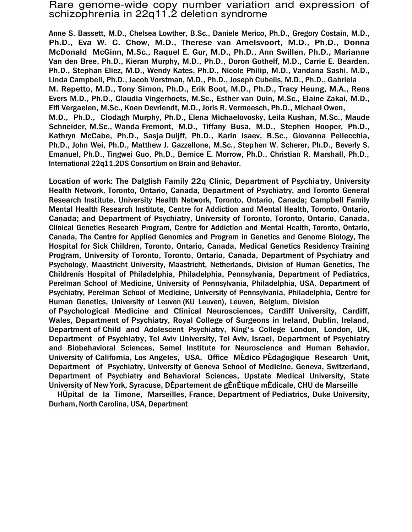# Rare genome-wide copy number variation and expression of schizophrenia in 22q11.2 deletion syndrome

Anne S. Bassett, M.D., Chelsea Lowther, B.Sc., Daniele Merico, Ph.D., Gregory Costain, M.D., Ph.D., Eva W. C. Chow, M.D., Therese van Amelsvoort, M.D., Ph.D., Donna McDonald McGinn, M.Sc., Raquel E. Gur, M.D., Ph.D., Ann Swillen, Ph.D., Marianne Van den Bree, Ph.D., Kieran Murphy, M.D., Ph.D., Doron Gothelf, M.D., Carrie E. Bearden, Ph.D., Stephan Eliez, M.D., Wendy Kates, Ph.D., Nicole Philip, M.D., Vandana Sashi, M.D., Linda Campbell, Ph.D., Jacob Vorstman, M.D., Ph.D., Joseph Cubells, M.D., Ph.D., Gabriela M. Repetto, M.D., Tony Simon, Ph.D., Erik Boot, M.D., Ph.D., Tracy Heung, M.A., Rens Evers M.D., Ph.D., Claudia Vingerhoets, M.Sc., Esther van Duin, M.Sc., Elaine Zakai, M.D., Elfi Vergaelen, M.Sc., Koen Devriendt, M.D., Joris R. Vermeesch, Ph.D., Michael Owen, M.D., Ph.D., Clodagh Murphy, Ph.D., Elena Michaelovosky, Leila Kushan, M.Sc., Maude Schneider, M.Sc., Wanda Fremont, M.D., Tiffany Busa, M.D., Stephen Hooper, Ph.D., Kathryn McCabe, Ph.D., Sasja Duijff, Ph.D., Karin Isaev, B.Sc., Giovanna Pellecchia, Ph.D., John Wei, Ph.D., Matthew J. Gazzellone, M.Sc., Stephen W. Scherer, Ph.D., Beverly S. Emanuel, Ph.D., Tingwei Guo, Ph.D., Bernice E. Morrow, Ph.D., Christian R. Marshall, Ph.D., International 22q11.2DS Consortium on Brain and Behavior.

Location of work: The Dalglish Family 22q Clinic, Department of Psychiatry, University Health Network, Toronto, Ontario, Canada, Department of Psychiatry, and Toronto General Research Institute, University Health Network, Toronto, Ontario, Canada; Campbell Family Mental Health Research Institute, Centre for Addiction and Mental Health, Toronto, Ontario, Canada; and Department of Psychiatry, University of Toronto, Toronto, Ontario, Canada, Clinical Genetics Research Program, Centre for Addiction and Mental Health, Toronto, Ontario, Canada, The Centre for Applied Genomics and Program in Genetics and Genome Biology, The Hospital for Sick Children, Toronto, Ontario, Canada, Medical Genetics Residency Training Program, University of Toronto, Toronto, Ontario, Canada, Department of Psychiatry and Psychology, Maastricht University, Maastricht, Netherlands, Division of Human Genetics, The Childrenís Hospital of Philadelphia, Philadelphia, Pennsylvania, Department of Pediatrics, Perelman School of Medicine, University of Pennsylvania, Philadelphia, USA, Department of Psychiatry, Perelman School of Medicine, University of Pennsylvania, Philadelphia, Centre for Human Genetics, University of Leuven (KU Leuven), Leuven, Belgium, Division of Psychological Medicine and Clinical Neurosciences, Cardiff University, Cardiff, Wales, Department of Psychiatry, Royal College of Surgeons in Ireland, Dublin, Ireland, Department of Child and Adolescent Psychiatry, King's College London, London, UK, Department of Psychiatry, Tel Aviv University, Tel Aviv, Israel, Department of Psychiatry and Biobehavioral Sciences, Semel Institute for Neuroscience and Human Behavior, University of California, Los Angeles, USA, Office MÈdico PÈdagogique Research Unit, Department of Psychiatry, University of Geneva School of Medicine, Geneva, Switzerland,

Department of Psychiatry and Behavioral Sciences, Upstate Medical University, State University of New York, Syracuse, DÈpartement de gÈnÈtique mÈdicale, CHU de Marseille

HÙpital de la Timone, Marseilles, France, Department of Pediatrics, Duke University, Durham, North Carolina, USA, Department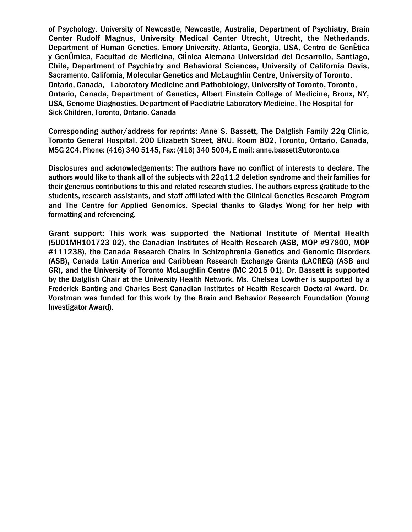of Psychology, University of Newcastle, Newcastle, Australia, Department of Psychiatry, Brain Center Rudolf Magnus, University Medical Center Utrecht, Utrecht, the Netherlands, Department of Human Genetics, Emory University, Atlanta, Georgia, USA, Centro de GenÈtica y GenÛmica, Facultad de Medicina, ClÌnica Alemana Universidad del Desarrollo, Santiago, Chile, Department of Psychiatry and Behavioral Sciences, University of California Davis, Sacramento, California, Molecular Genetics and McLaughlin Centre, University of Toronto, Ontario, Canada, Laboratory Medicine and Pathobiology, University of Toronto, Toronto, Ontario, Canada, Department of Genetics, Albert Einstein College of Medicine, Bronx, NY, USA, Genome Diagnostics, Department of Paediatric Laboratory Medicine, The Hospital for Sick Children, Toronto, Ontario, Canada

Corresponding author/address for reprints: Anne S. Bassett, The Dalglish Family 22q Clinic, Toronto General Hospital, 200 Elizabeth Street, 8NU, Room 802, Toronto, Ontario, Canada, M5G 2C4, Phone: (416) 340 5145, Fax: (416) 340 5004, E mail: anne.bassett@utoronto.ca

Disclosures and acknowledgements: The authors have no conflict of interests to declare. The authors would like to thank all of the subjects with 22q11.2 deletion syndrome and their families for their generous contributions to this and related research studies. The authors express gratitude to the students, research assistants, and staff affiliated with the Clinical Genetics Research Program and The Centre for Applied Genomics. Special thanks to Gladys Wong for her help with formatting and referencing.

Grant support: This work was supported the National Institute of Mental Health (5U01MH101723 02), the Canadian Institutes of Health Research (ASB, MOP #97800, MOP #111238), the Canada Research Chairs in Schizophrenia Genetics and Genomic Disorders (ASB), Canada Latin America and Caribbean Research Exchange Grants (LACREG) (ASB and GR), and the University of Toronto McLaughlin Centre (MC 2015 01). Dr. Bassett is supported by the Dalglish Chair at the University Health Network. Ms. Chelsea Lowther is supported by a Frederick Banting and Charles Best Canadian Institutes of Health Research Doctoral Award. Dr. Vorstman was funded for this work by the Brain and Behavior Research Foundation (Young Investigator Award).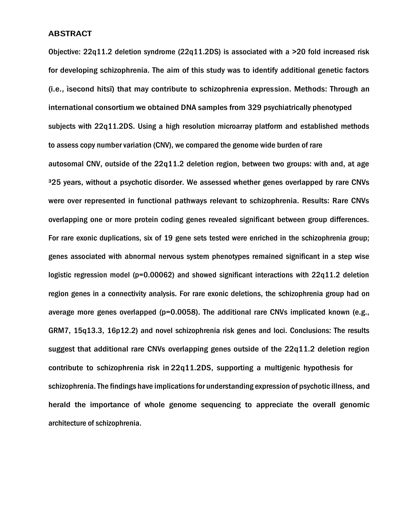# **ABSTRACT**

Objective: 22q11.2 deletion syndrome (22q11.2DS) is associated with a >20 fold increased risk for developing schizophrenia. The aim of this study was to identify additional genetic factors (i.e., ìsecond hitsî) that may contribute to schizophrenia expression. Methods: Through an international consortium we obtained DNA samples from 329 psychiatrically phenotyped subjects with 22q11.2DS. Using a high resolution microarray platform and established methods to assess copy number variation (CNV), we compared the genome wide burden of rare autosomal CNV, outside of the 22q11.2 deletion region, between two groups: with and, at age <sup>3</sup>25 years, without a psychotic disorder. We assessed whether genes overlapped by rare CNVs were over represented in functional pathways relevant to schizophrenia. Results: Rare CNVs overlapping one or more protein coding genes revealed significant between group differences. For rare exonic duplications, six of 19 gene sets tested were enriched in the schizophrenia group; genes associated with abnormal nervous system phenotypes remained significant in a step wise logistic regression model ( $p=0.00062$ ) and showed significant interactions with  $22q11.2$  deletion region genes in a connectivity analysis. For rare exonic deletions, the schizophrenia group had on average more genes overlapped ( $p=0.0058$ ). The additional rare CNVs implicated known (e.g., GRM7, 15q13.3, 16p12.2) and novel schizophrenia risk genes and loci. Conclusions: The results suggest that additional rare CNVs overlapping genes outside of the 22q11.2 deletion region contribute to schizophrenia risk in 22q11.2DS, supporting a multigenic hypothesis for schizophrenia. The findings have implications for understanding expression of psychotic illness, and herald the importance of whole genome sequencing to appreciate the overall genomic architecture of schizophrenia.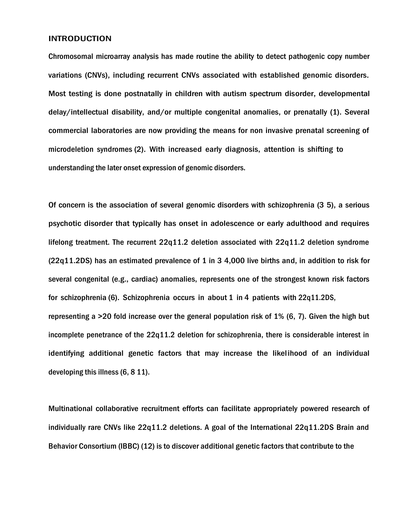#### INTRODUCTION

Chromosomal microarray analysis has made routine the ability to detect pathogenic copy number variations (CNVs), including recurrent CNVs associated with established genomic disorders. Most testing is done postnatally in children with autism spectrum disorder, developmental delay/intellectual disability, and/or multiple congenital anomalies, or prenatally (1). Several commercial laboratories are now providing the means for non invasive prenatal screening of microdeletion syndromes (2). With increased early diagnosis, attention is shifting to understanding the later onset expression of genomic disorders.

Of concern is the association of several genomic disorders with schizophrenia (3 5), a serious psychotic disorder that typically has onset in adolescence or early adulthood and requires lifelong treatment. The recurrent 22q11.2 deletion associated with 22q11.2 deletion syndrome (22q11.2DS) has an estimated prevalence of 1 in 3 4,000 live births and, in addition to risk for several congenital (e.g., cardiac) anomalies, represents one of the strongest known risk factors for schizophrenia (6). Schizophrenia occurs in about 1 in 4 patients with 22q11.2DS, representing a >20 fold increase over the general population risk of 1% (6, 7). Given the high but incomplete penetrance of the 22q11.2 deletion for schizophrenia, there is considerable interest in identifying additional genetic factors that may increase the likelihood of an individual developing this illness (6, 8 11).

Multinational collaborative recruitment efforts can facilitate appropriately powered research of individually rare CNVs like 22q11.2 deletions. A goal of the International 22q11.2DS Brain and Behavior Consortium (IBBC) (12) is to discover additional genetic factors that contribute to the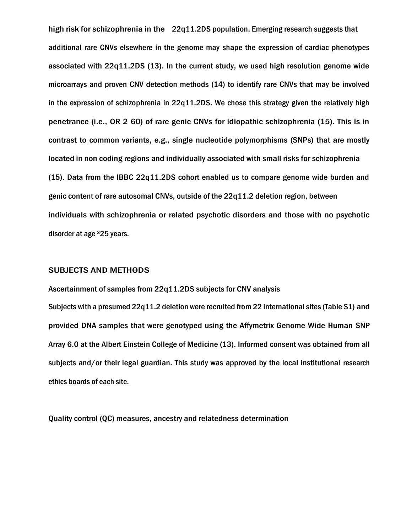high risk for schizophrenia in the 22q11.2DS population. Emerging research suggests that additional rare CNVs elsewhere in the genome may shape the expression of cardiac phenotypes associated with 22q11.2DS (13). In the current study, we used high resolution genome wide microarrays and proven CNV detection methods (14) to identify rare CNVs that may be involved in the expression of schizophrenia in 22q11.2DS. We chose this strategy given the relatively high penetrance (i.e., OR 2 60) of rare genic CNVs for idiopathic schizophrenia (15). This is in contrast to common variants, e.g., single nucleotide polymorphisms (SNPs) that are mostly located in non coding regions and individually associated with small risks for schizophrenia (15). Data from the IBBC 22q11.2DS cohort enabled us to compare genome wide burden and genic content of rare autosomal CNVs, outside of the 22q11.2 deletion region, between individuals with schizophrenia or related psychotic disorders and those with no psychotic disorder at age 325 years.

# SUBJECTS AND METHODS

Ascertainment of samples from 22q11.2DS subjects for CNV analysis Subjects with a presumed 22q11.2 deletion were recruited from 22 international sites (Table S1) and provided DNA samples that were genotyped using the Affymetrix Genome Wide Human SNP Array 6.0 at the Albert Einstein College of Medicine (13). Informed consent was obtained from all subjects and/or their legal guardian. This study was approved by the local institutional research ethics boards of each site.

Quality control (QC) measures, ancestry and relatedness determination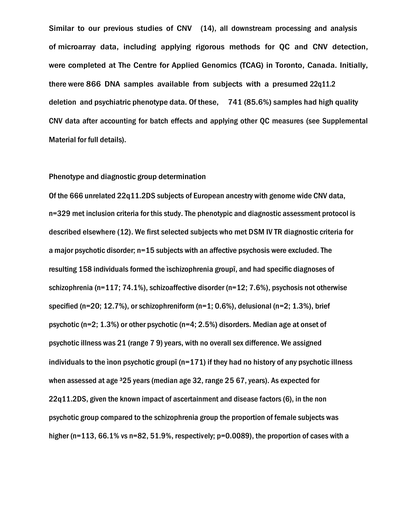Similar to our previous studies of CNV (14), all downstream processing and analysis of microarray data, including applying rigorous methods for QC and CNV detection, were completed at The Centre for Applied Genomics (TCAG) in Toronto, Canada. Initially, there were 866 DNA samples available from subjects with a presumed 22q11.2 deletion and psychiatric phenotype data. Of these, 741 (85.6%) samples had high quality CNV data after accounting for batch effects and applying other QC measures (see Supplemental Material for full details).

#### Phenotype and diagnostic group determination

Of the 666 unrelated 22q11.2DS subjects of European ancestry with genome wide CNV data, n=329 met inclusion criteria for this study. The phenotypic and diagnostic assessment protocol is described elsewhere (12). We first selected subjects who met DSM IV TR diagnostic criteria for a major psychotic disorder; n=15 subjects with an affective psychosis were excluded. The resulting 158 individuals formed the ìschizophrenia groupî, and had specific diagnoses of schizophrenia (n=117; 74.1%), schizoaffective disorder (n=12; 7.6%), psychosis not otherwise specified (n=20; 12.7%), or schizophreniform (n=1; 0.6%), delusional (n=2; 1.3%), brief psychotic (n=2; 1.3%) or other psychotic (n=4; 2.5%) disorders. Median age at onset of psychotic illness was 21 (range 7 9) years, with no overall sex difference. We assigned individuals to the ìnon psychotic groupî (n=171) if they had no history of any psychotic illness when assessed at age <sup>3</sup>25 years (median age 32, range 25 67, years). As expected for 22q11.2DS, given the known impact of ascertainment and disease factors (6), in the non psychotic group compared to the schizophrenia group the proportion of female subjects was higher (n=113, 66.1% vs n=82, 51.9%, respectively; p=0.0089), the proportion of cases with a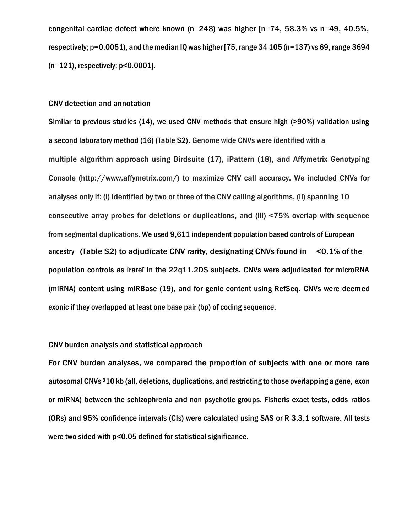congenital cardiac defect where known (n=248) was higher [n=74, 58.3% vs n=49, 40.5%, respectively; p=0.0051), and the median IQ was higher [75, range 34 105 (n=137) vs 69, range 3694 (n=121), respectively; p<0.0001].

## CNV detection and annotation

Similar to previous studies (14), we used CNV methods that ensure high (>90%) validation using a second laboratory method (16) (Table S2). Genome wide CNVs were identified with a multiple algorithm approach using Birdsuite (17), iPattern (18), and Affymetrix Genotyping Console (http://www.affymetrix.com/) to maximize CNV call accuracy. We included CNVs for analyses only if: (i) identified by two or three of the CNV calling algorithms, (ii) spanning 10 consecutive array probes for deletions or duplications, and (iii) <75% overlap with sequence from segmental duplications. We used 9,611 independent population based controls of European ancestry (Table S2) to adjudicate CNV rarity, designating CNVs found in <0.1% of the population controls as ìrareî in the 22q11.2DS subjects. CNVs were adjudicated for microRNA (miRNA) content using miRBase (19), and for genic content using RefSeq. CNVs were deemed exonic if they overlapped at least one base pair (bp) of coding sequence.

# CNV burden analysis and statistical approach

For CNV burden analyses, we compared the proportion of subjects with one or more rare autosomal CNVs ³10 kb (all, deletions, duplications, and restricting to those overlapping a gene, exon or miRNA) between the schizophrenia and non psychotic groups. Fisherís exact tests, odds ratios (ORs) and 95% confidence intervals (CIs) were calculated using SAS or R 3.3.1 software. All tests were two sided with p<0.05 defined for statistical significance.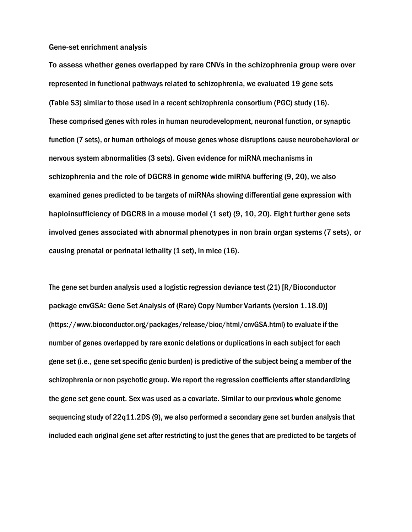Gene-set enrichment analysis

To assess whether genes overlapped by rare CNVs in the schizophrenia group were over represented in functional pathways related to schizophrenia, we evaluated 19 gene sets (Table S3) similar to those used in a recent schizophrenia consortium (PGC) study (16). These comprised genes with roles in human neurodevelopment, neuronal function, or synaptic function (7 sets), or human orthologs of mouse genes whose disruptions cause neurobehavioral or nervous system abnormalities (3 sets). Given evidence for miRNA mechanisms in schizophrenia and the role of DGCR8 in genome wide miRNA buffering (9, 20), we also examined genes predicted to be targets of miRNAs showing differential gene expression with haploinsufficiency of DGCR8 in a mouse model (1 set) (9, 10, 20). Eight further gene sets involved genes associated with abnormal phenotypes in non brain organ systems (7 sets), or causing prenatal or perinatal lethality (1 set), in mice (16).

The gene set burden analysis used a logistic regression deviance test (21) [R/Bioconductor package cnvGSA: Gene Set Analysis of (Rare) Copy Number Variants (version 1.18.0)] (https://www.bioconductor.org/packages/release/bioc/html/cnvGSA.html) to evaluate if the number of genes overlapped by rare exonic deletions or duplications in each subject for each gene set (i.e., gene set specific genic burden) is predictive of the subject being a member of the schizophrenia or non psychotic group. We report the regression coefficients after standardizing the gene set gene count. Sex was used as a covariate. Similar to our previous whole genome sequencing study of 22q11.2DS (9), we also performed a secondary gene set burden analysis that included each original gene set after restricting to just the genes that are predicted to be targets of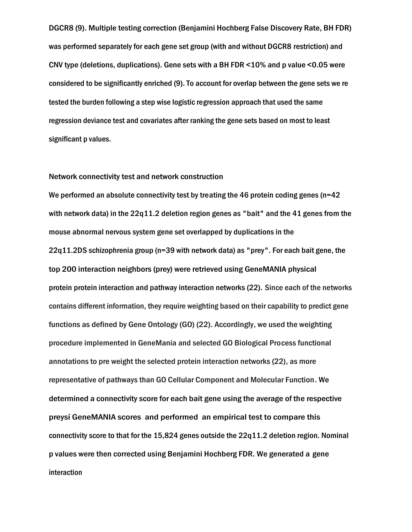DGCR8 (9). Multiple testing correction (Benjamini Hochberg False Discovery Rate, BH FDR) was performed separately for each gene set group (with and without DGCR8 restriction) and CNV type (deletions, duplications). Gene sets with a BH FDR <10% and p value <0.05 were considered to be significantly enriched (9). To account for overlap between the gene sets we re tested the burden following a step wise logistic regression approach that used the same regression deviance test and covariates after ranking the gene sets based on most to least significant p values.

#### Network connectivity test and network construction

We performed an absolute connectivity test by treating the 46 protein coding genes ( $n=42$ ) with network data) in the 22q11.2 deletion region genes as "bait" and the 41 genes from the mouse abnormal nervous system gene set overlapped by duplications in the 22q11.2DS schizophrenia group (n=39 with network data) as "prey". For each bait gene, the top 200 interaction neighbors (prey) were retrieved using GeneMANIA physical protein protein interaction and pathway interaction networks (22). Since each of the networks contains different information, they require weighting based on their capability to predict gene functions as defined by Gene Ontology (GO) (22). Accordingly, we used the weighting procedure implemented in GeneMania and selected GO Biological Process functional annotations to pre weight the selected protein interaction networks (22), as more representative of pathways than GO Cellular Component and Molecular Function. We determined a connectivity score for each bait gene using the average of the respective preysí GeneMANIA scores and performed an empirical test to compare this connectivity score to that for the 15,824 genes outside the 22q11.2 deletion region. Nominal p values were then corrected using Benjamini Hochberg FDR. We generated a gene interaction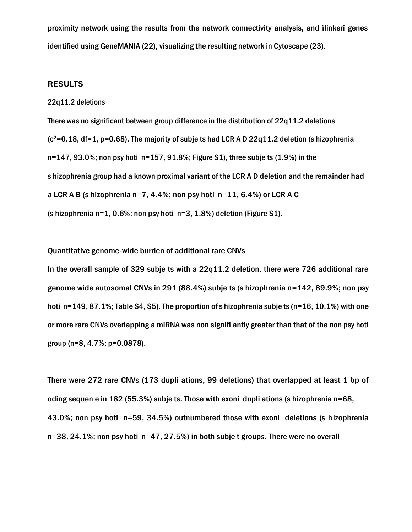proximity network using the results from the network connectivity analysis, and ìlinkerî genes identified using GeneMANIA (22), visualizing the resulting network in Cytoscape (23).

#### RESULTS

#### 22q11.2 deletions

There was no significant between group difference in the distribution of 22q11.2 deletions  $(c^2=0.18, df=1, p=0.68)$ . The majority of subje ts had LCR A D 22q11.2 deletion (s hizophrenia  $n=147, 93.0\%$ ; non psy hoti  $n=157, 91.8\%$ ; Figure S1), three subje ts (1.9%) in the s hizophrenia group had a known proximal variant of the LCR A D deletion and the remainder had a LCR A B (s hizophrenia n=7, 4.4%; non psy hoti  $n=11$ , 6.4%) or LCR A C (s hizophrenia n=1, 0.6%; non psy hoti n=3, 1.8%) deletion (Figure S1).

Quantitative genome-wide burden of additional rare CNVs

In the overall sample of 329 subje ts with a 22q11.2 deletion, there were 726 additional rare genome wide autosomal CNVs in 291 (88.4%) subje ts (s hizophrenia n=142, 89.9%; non psy hoti n=149, 87.1%; Table S4, S5). The proportion of s hizophrenia subje ts (n=16, 10.1%) with one or more rare CNVs overlapping a miRNA was non signifi antly greater than that of the non psy hoti group (n=8, 4.7%; p=0.0878).

There were 272 rare CNVs (173 dupli ations, 99 deletions) that overlapped at least 1 bp of oding sequen e in 182 (55.3%) subje ts. Those with exoni dupli ations (s hizophrenia n=68, 43.0%; non psy hoti n=59, 34.5%) outnumbered those with exoni deletions (s hizophrenia n=38, 24.1%; non psy hoti n=47, 27.5%) in both subje t groups. There were no overall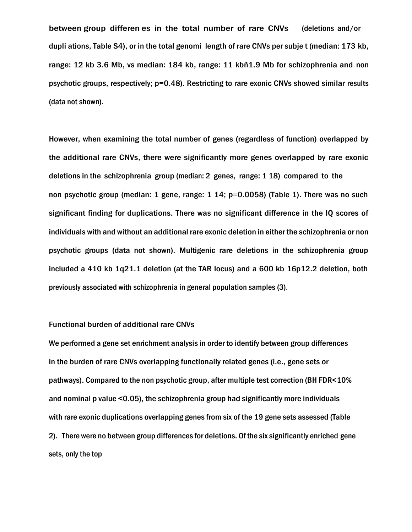between group differen es in the total number of rare CNVs (deletions and/or dupli ations, Table S4), or in the total genomi length of rare CNVs per subje t (median: 173 kb, range: 12 kb 3.6 Mb, vs median: 184 kb, range: 11 kbñ1.9 Mb for schizophrenia and non psychotic groups, respectively; p=0.48). Restricting to rare exonic CNVs showed similar results (data not shown).

However, when examining the total number of genes (regardless of function) overlapped by the additional rare CNVs, there were significantly more genes overlapped by rare exonic deletions in the schizophrenia group (median: 2 genes, range: 1 18) compared to the non psychotic group (median: 1 gene, range: 1 14; p=0.0058) (Table 1). There was no such significant finding for duplications. There was no significant difference in the IQ scores of individuals with and without an additional rare exonic deletion in either the schizophrenia or non psychotic groups (data not shown). Multigenic rare deletions in the schizophrenia group included a 410 kb 1q21.1 deletion (at the TAR locus) and a 600 kb 16p12.2 deletion, both previously associated with schizophrenia in general population samples (3).

#### Functional burden of additional rare CNVs

We performed a gene set enrichment analysis in order to identify between group differences in the burden of rare CNVs overlapping functionally related genes (i.e., gene sets or pathways). Compared to the non psychotic group, after multiple test correction (BH FDR<10% and nominal p value <0.05), the schizophrenia group had significantly more individuals with rare exonic duplications overlapping genes from six of the 19 gene sets assessed (Table 2). There were no between group differences for deletions. Of the six significantly enriched gene sets, only the top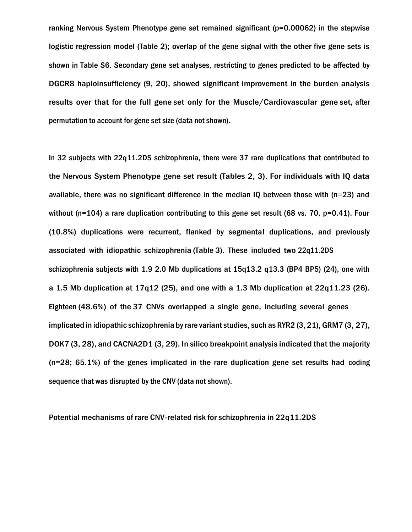ranking Nervous System Phenotype gene set remained significant ( $p=0.00062$ ) in the stepwise logistic regression model (Table 2); overlap of the gene signal with the other five gene sets is shown in Table S6. Secondary gene set analyses, restricting to genes predicted to be affected by DGCR8 haploinsufficiency (9, 20), showed significant improvement in the burden analysis results over that for the full gene set only for the Muscle/Cardiovascular gene set, after permutation to account for gene set size (data not shown).

In 32 subjects with 22q11.2DS schizophrenia, there were 37 rare duplications that contributed to the Nervous System Phenotype gene set result (Tables 2, 3). For individuals with IQ data available, there was no significant difference in the median IQ between those with (n=23) and without (n=104) a rare duplication contributing to this gene set result (68 vs. 70, p=0.41). Four (10.8%) duplications were recurrent, flanked by segmental duplications, and previously associated with idiopathic schizophrenia (Table 3). These included two 22q11.2DS schizophrenia subjects with 1.9 2.0 Mb duplications at 15q13.2 q13.3 (BP4 BP5) (24), one with a 1.5 Mb duplication at 17q12 (25), and one with a 1.3 Mb duplication at  $22q11.23$  (26). Eighteen (48.6%) of the 37 CNVs overlapped a single gene, including several genes implicated in idiopathic schizophrenia by rare variant studies, such as RYR2 (3, 21), GRM7 (3, 27), DOK7 (3, 28), and CACNA2D1 (3, 29). In silico breakpoint analysis indicated that the majority (n=28; 65.1%) of the genes implicated in the rare duplication gene set results had coding sequence that was disrupted by the CNV (data not shown).

Potential mechanisms of rare CNV-related risk for schizophrenia in 22q11.2DS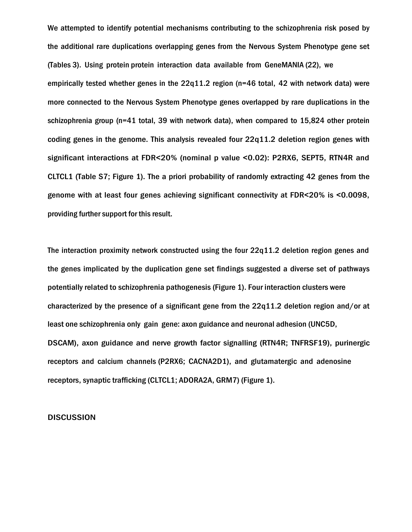We attempted to identify potential mechanisms contributing to the schizophrenia risk posed by the additional rare duplications overlapping genes from the Nervous System Phenotype gene set (Tables 3). Using protein protein interaction data available from GeneMANIA (22), we empirically tested whether genes in the  $22q11.2$  region (n=46 total, 42 with network data) were more connected to the Nervous System Phenotype genes overlapped by rare duplications in the schizophrenia group (n=41 total, 39 with network data), when compared to 15,824 other protein coding genes in the genome. This analysis revealed four 22q11.2 deletion region genes with significant interactions at FDR<20% (nominal p value <0.02): P2RX6, SEPT5, RTN4R and CLTCL1 (Table S7; Figure 1). The a priori probability of randomly extracting 42 genes from the genome with at least four genes achieving significant connectivity at FDR<20% is <0.0098, providing further support for this result.

The interaction proximity network constructed using the four 22q11.2 deletion region genes and the genes implicated by the duplication gene set findings suggested a diverse set of pathways potentially related to schizophrenia pathogenesis (Figure 1). Four interaction clusters were characterized by the presence of a significant gene from the 22q11.2 deletion region and/or at least one schizophrenia only gain gene: axon guidance and neuronal adhesion (UNC5D, DSCAM), axon guidance and nerve growth factor signalling (RTN4R; TNFRSF19), purinergic receptors and calcium channels (P2RX6; CACNA2D1), and glutamatergic and adenosine receptors, synaptic trafficking (CLTCL1; ADORA2A, GRM7) (Figure 1).

#### **DISCUSSION**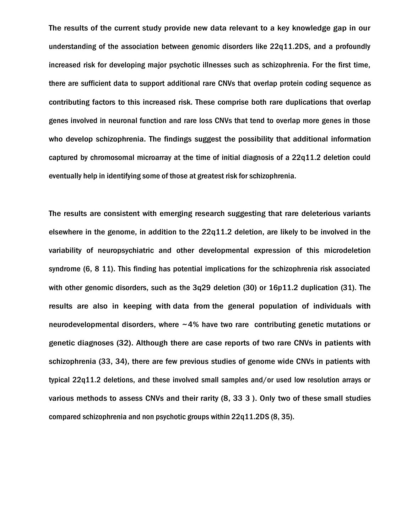The results of the current study provide new data relevant to a key knowledge gap in our understanding of the association between genomic disorders like 22q11.2DS, and a profoundly increased risk for developing major psychotic illnesses such as schizophrenia. For the first time, there are sufficient data to support additional rare CNVs that overlap protein coding sequence as contributing factors to this increased risk. These comprise both rare duplications that overlap genes involved in neuronal function and rare loss CNVs that tend to overlap more genes in those who develop schizophrenia. The findings suggest the possibility that additional information captured by chromosomal microarray at the time of initial diagnosis of a 22q11.2 deletion could eventually help in identifying some of those at greatest risk for schizophrenia.

The results are consistent with emerging research suggesting that rare deleterious variants elsewhere in the genome, in addition to the 22q11.2 deletion, are likely to be involved in the variability of neuropsychiatric and other developmental expression of this microdeletion syndrome (6, 8 11). This finding has potential implications for the schizophrenia risk associated with other genomic disorders, such as the 3q29 deletion (30) or 16p11.2 duplication (31). The results are also in keeping with data from the general population of individuals with neurodevelopmental disorders, where  $\sim$  4% have two rare contributing genetic mutations or genetic diagnoses (32). Although there are case reports of two rare CNVs in patients with schizophrenia (33, 34), there are few previous studies of genome wide CNVs in patients with typical 22q11.2 deletions, and these involved small samples and/or used low resolution arrays or various methods to assess CNVs and their rarity (8, 33 3 ). Only two of these small studies compared schizophrenia and non psychotic groups within 22q11.2DS (8, 35).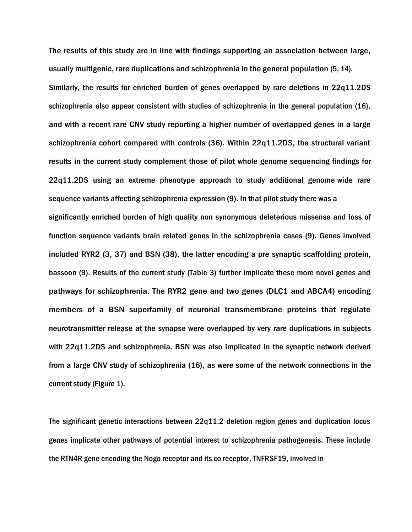The results of this study are in line with findings supporting an association between large, usually multigenic, rare duplications and schizophrenia in the general population (5, 14). Similarly, the results for enriched burden of genes overlapped by rare deletions in 22q11.2DS schizophrenia also appear consistent with studies of schizophrenia in the general population (16), and with a recent rare CNV study reporting a higher number of overlapped genes in a large schizophrenia cohort compared with controls (36). Within 22q11.2DS, the structural variant results in the current study complement those of pilot whole genome sequencing findings for 22q11.2DS using an extreme phenotype approach to study additional genome wide rare sequence variants affecting schizophrenia expression (9). In that pilot study there was a significantly enriched burden of high quality non synonymous deleterious missense and loss of function sequence variants brain related genes in the schizophrenia cases (9). Genes involved included RYR2 (3, 37) and BSN (38), the latter encoding a pre synaptic scaffolding protein, bassoon (9). Results of the current study (Table 3) further implicate these more novel genes and pathways for schizophrenia. The RYR2 gene and two genes (DLC1 and ABCA4) encoding members of a BSN superfamily of neuronal transmembrane proteins that regulate neurotransmitter release at the synapse were overlapped by very rare duplications in subjects with 22q11.2DS and schizophrenia. BSN was also implicated in the synaptic network derived from a large CNV study of schizophrenia (16), as were some of the network connections in the current study (Figure 1).

The significant genetic interactions between 22q11.2 deletion region genes and duplication locus genes implicate other pathways of potential interest to schizophrenia pathogenesis. These include the RTN4R gene encoding the Nogo receptor and its co receptor, TNFRSF19, involved in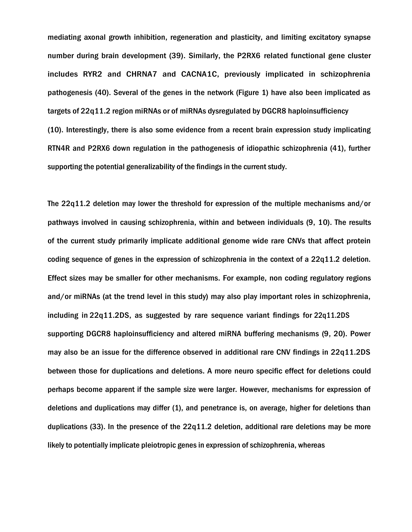mediating axonal growth inhibition, regeneration and plasticity, and limiting excitatory synapse number during brain development (39). Similarly, the P2RX6 related functional gene cluster includes RYR2 and CHRNA7 and CACNA1C, previously implicated in schizophrenia pathogenesis (40). Several of the genes in the network (Figure 1) have also been implicated as targets of 22q11.2 region miRNAs or of miRNAs dysregulated by DGCR8 haploinsufficiency (10). Interestingly, there is also some evidence from a recent brain expression study implicating RTN4R and P2RX6 down regulation in the pathogenesis of idiopathic schizophrenia (41), further supporting the potential generalizability of the findings in the current study.

The 22q11.2 deletion may lower the threshold for expression of the multiple mechanisms and/or pathways involved in causing schizophrenia, within and between individuals (9, 10). The results of the current study primarily implicate additional genome wide rare CNVs that affect protein coding sequence of genes in the expression of schizophrenia in the context of a 22q11.2 deletion. Effect sizes may be smaller for other mechanisms. For example, non coding regulatory regions and/or miRNAs (at the trend level in this study) may also play important roles in schizophrenia, including in 22q11.2DS, as suggested by rare sequence variant findings for 22q11.2DS supporting DGCR8 haploinsufficiency and altered miRNA buffering mechanisms (9, 20). Power may also be an issue for the difference observed in additional rare CNV findings in 22q11.2DS between those for duplications and deletions. A more neuro specific effect for deletions could perhaps become apparent if the sample size were larger. However, mechanisms for expression of deletions and duplications may differ (1), and penetrance is, on average, higher for deletions than duplications (33). In the presence of the 22q11.2 deletion, additional rare deletions may be more likely to potentially implicate pleiotropic genes in expression of schizophrenia, whereas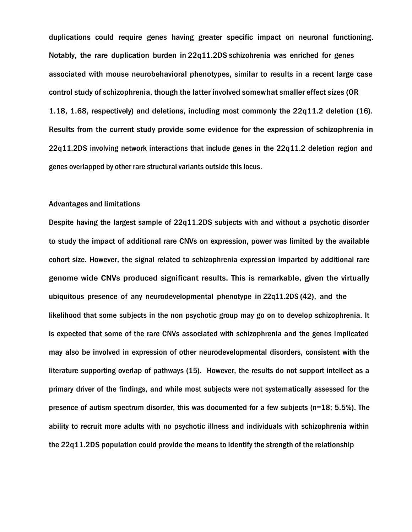duplications could require genes having greater specific impact on neuronal functioning. Notably, the rare duplication burden in 22q11.2DS schizohrenia was enriched for genes associated with mouse neurobehavioral phenotypes, similar to results in a recent large case control study of schizophrenia, though the latter involved somewhat smaller effect sizes (OR 1.18, 1.68, respectively) and deletions, including most commonly the 22q11.2 deletion (16). Results from the current study provide some evidence for the expression of schizophrenia in 22q11.2DS involving network interactions that include genes in the 22q11.2 deletion region and genes overlapped by other rare structural variants outside this locus.

#### Advantages and limitations

Despite having the largest sample of 22q11.2DS subjects with and without a psychotic disorder to study the impact of additional rare CNVs on expression, power was limited by the available cohort size. However, the signal related to schizophrenia expression imparted by additional rare genome wide CNVs produced significant results. This is remarkable, given the virtually ubiquitous presence of any neurodevelopmental phenotype in 22q11.2DS (42), and the likelihood that some subjects in the non psychotic group may go on to develop schizophrenia. It is expected that some of the rare CNVs associated with schizophrenia and the genes implicated may also be involved in expression of other neurodevelopmental disorders, consistent with the literature supporting overlap of pathways (15). However, the results do not support intellect as a primary driver of the findings, and while most subjects were not systematically assessed for the presence of autism spectrum disorder, this was documented for a few subjects (n=18; 5.5%). The ability to recruit more adults with no psychotic illness and individuals with schizophrenia within the 22q11.2DS population could provide the means to identify the strength of the relationship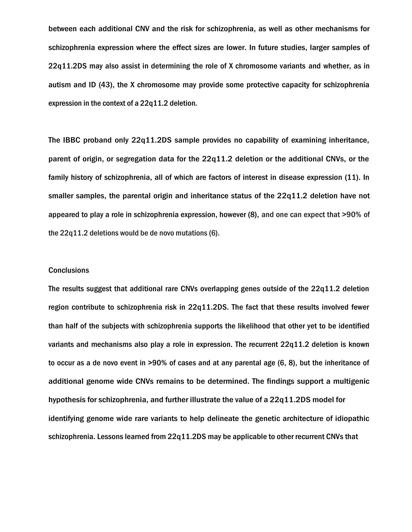between each additional CNV and the risk for schizophrenia, as well as other mechanisms for schizophrenia expression where the effect sizes are lower. In future studies, larger samples of 22q11.2DS may also assist in determining the role of X chromosome variants and whether, as in autism and ID (43), the X chromosome may provide some protective capacity for schizophrenia expression in the context of a 22q11.2 deletion.

The IBBC proband only 22q11.2DS sample provides no capability of examining inheritance, parent of origin, or segregation data for the 22q11.2 deletion or the additional CNVs, or the family history of schizophrenia, all of which are factors of interest in disease expression (11). In smaller samples, the parental origin and inheritance status of the 22q11.2 deletion have not appeared to play a role in schizophrenia expression, however (8), and one can expect that >90% of the 22q11.2 deletions would be de novo mutations (6).

### **Conclusions**

The results suggest that additional rare CNVs overlapping genes outside of the 22q11.2 deletion region contribute to schizophrenia risk in 22q11.2DS. The fact that these results involved fewer than half of the subjects with schizophrenia supports the likelihood that other yet to be identified variants and mechanisms also play a role in expression. The recurrent 22q11.2 deletion is known to occur as a de novo event in >90% of cases and at any parental age (6, 8), but the inheritance of additional genome wide CNVs remains to be determined. The findings support a multigenic hypothesis for schizophrenia, and further illustrate the value of a 22q11.2DS model for identifying genome wide rare variants to help delineate the genetic architecture of idiopathic schizophrenia. Lessons learned from 22q11.2DS may be applicable to other recurrent CNVs that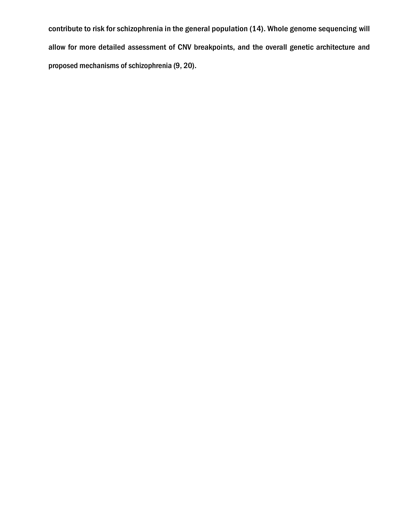contribute to risk for schizophrenia in the general population (14). Whole genome sequencing will allow for more detailed assessment of CNV breakpoints, and the overall genetic architecture and proposed mechanisms of schizophrenia (9, 20).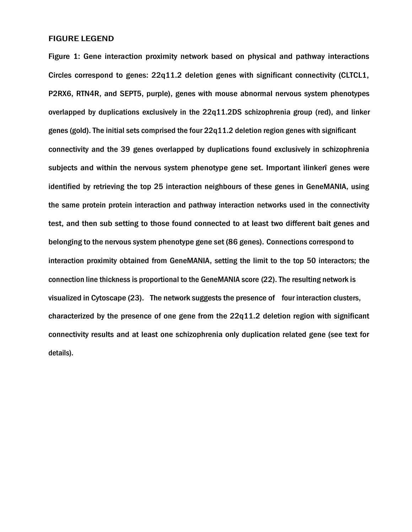## FIGURE LEGEND

Figure 1: Gene interaction proximity network based on physical and pathway interactions Circles correspond to genes: 22q11.2 deletion genes with significant connectivity (CLTCL1, P2RX6, RTN4R, and SEPT5, purple), genes with mouse abnormal nervous system phenotypes overlapped by duplications exclusively in the 22q11.2DS schizophrenia group (red), and linker genes (gold). The initial sets comprised the four 22q11.2 deletion region genes with significant connectivity and the 39 genes overlapped by duplications found exclusively in schizophrenia subjects and within the nervous system phenotype gene set. Important ìlinkerî genes were identified by retrieving the top 25 interaction neighbours of these genes in GeneMANIA, using the same protein protein interaction and pathway interaction networks used in the connectivity test, and then sub setting to those found connected to at least two different bait genes and belonging to the nervous system phenotype gene set (86 genes). Connections correspond to interaction proximity obtained from GeneMANIA, setting the limit to the top 50 interactors; the connection line thickness is proportional to the GeneMANIA score (22). The resulting network is visualized in Cytoscape (23). The network suggests the presence of four interaction clusters, characterized by the presence of one gene from the 22q11.2 deletion region with significant connectivity results and at least one schizophrenia only duplication related gene (see text for details).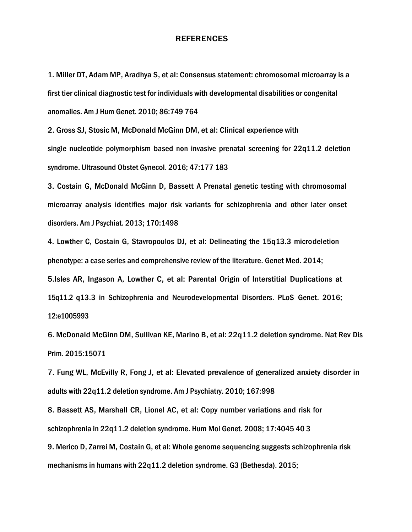#### REFERENCES

1. Miller DT, Adam MP, Aradhya S, et al: Consensus statement: chromosomal microarray is a first tier clinical diagnostic test for individuals with developmental disabilities or congenital anomalies. Am J Hum Genet. 2010; 86:749 764

2. Gross SJ, Stosic M, McDonald McGinn DM, et al: Clinical experience with single nucleotide polymorphism based non invasive prenatal screening for 22q11.2 deletion syndrome. Ultrasound Obstet Gynecol. 2016; 47:177 183

3. Costain G, McDonald McGinn D, Bassett A Prenatal genetic testing with chromosomal microarray analysis identifies major risk variants for schizophrenia and other later onset disorders. Am J Psychiat. 2013; 170:1498

4. Lowther C, Costain G, Stavropoulos DJ, et al: Delineating the 15q13.3 microdeletion phenotype: a case series and comprehensive review of the literature. Genet Med. 2014; 5.Isles AR, Ingason A, Lowther C, et al: Parental Origin of Interstitial Duplications at 15q11.2 q13.3 in Schizophrenia and Neurodevelopmental Disorders. PLoS Genet. 2016; 12:e1005993

6. McDonald McGinn DM, Sullivan KE, Marino B, et al: 22q11.2 deletion syndrome. Nat Rev Dis Prim. 2015:15071

7. Fung WL, McEvilly R, Fong J, et al: Elevated prevalence of generalized anxiety disorder in adults with 22q11.2 deletion syndrome. Am J Psychiatry. 2010; 167:998

8. Bassett AS, Marshall CR, Lionel AC, et al: Copy number variations and risk for schizophrenia in 22q11.2 deletion syndrome. Hum Mol Genet. 2008; 17:4045 40 3

9. Merico D, Zarrei M, Costain G, et al: Whole genome sequencing suggests schizophrenia risk mechanisms in humans with 22q11.2 deletion syndrome. G3 (Bethesda). 2015;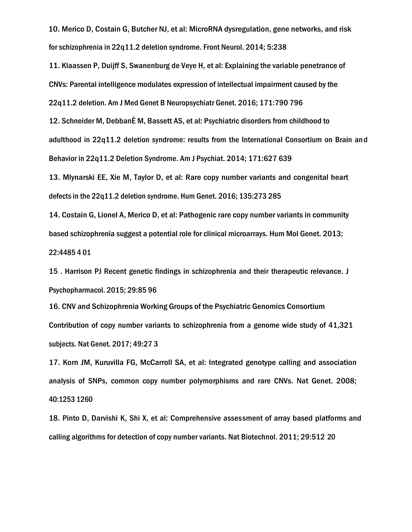10. Merico D, Costain G, Butcher NJ, et al: MicroRNA dysregulation, gene networks, and risk for schizophrenia in 22q11.2 deletion syndrome. Front Neurol. 2014; 5:238

11. Klaassen P, Duijff S, Swanenburg de Veye H, et al: Explaining the variable penetrance of CNVs: Parental intelligence modulates expression of intellectual impairment caused by the 22q11.2 deletion. Am J Med Genet B Neuropsychiatr Genet. 2016; 171:790 796

12. Schneider M, DebbanÈ M, Bassett AS, et al: Psychiatric disorders from childhood to adulthood in 22q11.2 deletion syndrome: results from the International Consortium on Brain and Behavior in 22q11.2 Deletion Syndrome. Am J Psychiat. 2014; 171:627 639

13. Mlynarski EE, Xie M, Taylor D, et al: Rare copy number variants and congenital heart defects in the 22q11.2 deletion syndrome. Hum Genet. 2016; 135:273 285

14. Costain G, Lionel A, Merico D, et al: Pathogenic rare copy number variants in community based schizophrenia suggest a potential role for clinical microarrays. Hum Mol Genet. 2013; 22:4485 4 01

15 . Harrison PJ Recent genetic findings in schizophrenia and their therapeutic relevance. J Psychopharmacol. 2015; 29:85 96

16. CNV and Schizophrenia Working Groups of the Psychiatric Genomics Consortium Contribution of copy number variants to schizophrenia from a genome wide study of 41,321 subjects. Nat Genet. 2017; 49:27 3

17. Korn JM, Kuruvilla FG, McCarroll SA, et al: Integrated genotype calling and association analysis of SNPs, common copy number polymorphisms and rare CNVs. Nat Genet. 2008; 40:1253 1260

18. Pinto D, Darvishi K, Shi X, et al: Comprehensive assessment of array based platforms and calling algorithms for detection of copy number variants. Nat Biotechnol. 2011; 29:512 20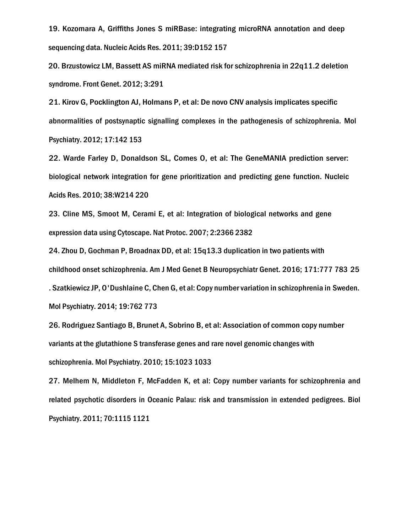19. Kozomara A, Griffiths Jones S miRBase: integrating microRNA annotation and deep sequencing data. Nucleic Acids Res. 2011; 39:D152 157

20. Brzustowicz LM, Bassett AS miRNA mediated risk for schizophrenia in 22q11.2 deletion syndrome. Front Genet. 2012; 3:291

21. Kirov G, Pocklington AJ, Holmans P, et al: De novo CNV analysis implicates specific abnormalities of postsynaptic signalling complexes in the pathogenesis of schizophrenia. Mol Psychiatry. 2012; 17:142 153

22. Warde Farley D, Donaldson SL, Comes O, et al: The GeneMANIA prediction server: biological network integration for gene prioritization and predicting gene function. Nucleic Acids Res. 2010; 38:W214 220

23. Cline MS, Smoot M, Cerami E, et al: Integration of biological networks and gene expression data using Cytoscape. Nat Protoc. 2007; 2:2366 2382

24. Zhou D, Gochman P, Broadnax DD, et al: 15q13.3 duplication in two patients with childhood onset schizophrenia. Am J Med Genet B Neuropsychiatr Genet. 2016; 171:777 783 25 . Szatkiewicz JP, O'Dushlaine C, Chen G, et al: Copy number variation in schizophrenia in Sweden. Mol Psychiatry. 2014; 19:762 773

26. Rodriguez Santiago B, Brunet A, Sobrino B, et al: Association of common copy number variants at the glutathione S transferase genes and rare novel genomic changes with schizophrenia. Mol Psychiatry. 2010; 15:1023 1033

27. Melhem N, Middleton F, McFadden K, et al: Copy number variants for schizophrenia and related psychotic disorders in Oceanic Palau: risk and transmission in extended pedigrees. Biol Psychiatry. 2011; 70:1115 1121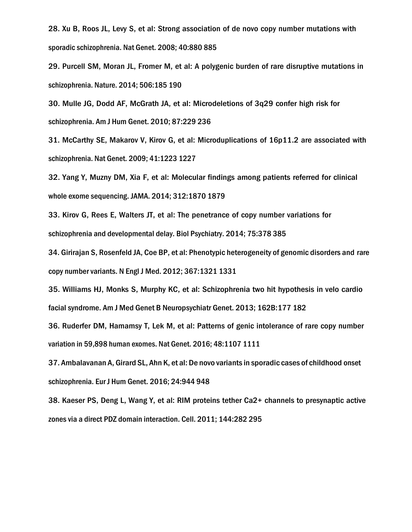28. Xu B, Roos JL, Levy S, et al: Strong association of de novo copy number mutations with sporadic schizophrenia. Nat Genet. 2008; 40:880 885

29. Purcell SM, Moran JL, Fromer M, et al: A polygenic burden of rare disruptive mutations in schizophrenia. Nature. 2014; 506:185 190

30. Mulle JG, Dodd AF, McGrath JA, et al: Microdeletions of 3q29 confer high risk for schizophrenia. Am J Hum Genet. 2010; 87:229 236

31. McCarthy SE, Makarov V, Kirov G, et al: Microduplications of 16p11.2 are associated with schizophrenia. Nat Genet. 2009; 41:1223 1227

32. Yang Y, Muzny DM, Xia F, et al: Molecular findings among patients referred for clinical whole exome sequencing. JAMA. 2014; 312:1870 1879

33. Kirov G, Rees E, Walters JT, et al: The penetrance of copy number variations for schizophrenia and developmental delay. Biol Psychiatry. 2014; 75:378 385

34. Girirajan S, Rosenfeld JA, Coe BP, et al: Phenotypic heterogeneity of genomic disorders and rare copy number variants. N Engl J Med. 2012; 367:1321 1331

35. Williams HJ, Monks S, Murphy KC, et al: Schizophrenia two hit hypothesis in velo cardio facial syndrome. Am J Med Genet B Neuropsychiatr Genet. 2013; 162B:177 182

36. Ruderfer DM, Hamamsy T, Lek M, et al: Patterns of genic intolerance of rare copy number variation in 59,898 human exomes. Nat Genet. 2016; 48:1107 1111

37. Ambalavanan A, Girard SL, Ahn K, et al: De novo variants in sporadic cases of childhood onset schizophrenia. Eur J Hum Genet. 2016; 24:944 948

38. Kaeser PS, Deng L, Wang Y, et al: RIM proteins tether Ca2+ channels to presynaptic active zones via a direct PDZ domain interaction. Cell. 2011; 144:282 295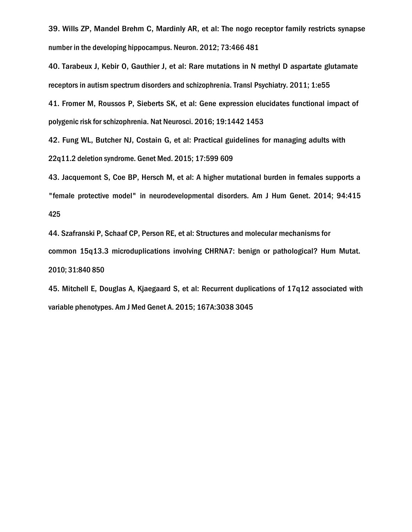39. Wills ZP, Mandel Brehm C, Mardinly AR, et al: The nogo receptor family restricts synapse number in the developing hippocampus. Neuron. 2012; 73:466 481

40. Tarabeux J, Kebir O, Gauthier J, et al: Rare mutations in N methyl D aspartate glutamate receptors in autism spectrum disorders and schizophrenia. Transl Psychiatry. 2011; 1:e55

41. Fromer M, Roussos P, Sieberts SK, et al: Gene expression elucidates functional impact of polygenic risk for schizophrenia. Nat Neurosci. 2016; 19:1442 1453

42. Fung WL, Butcher NJ, Costain G, et al: Practical guidelines for managing adults with 22q11.2 deletion syndrome. Genet Med. 2015; 17:599 609

43. Jacquemont S, Coe BP, Hersch M, et al: A higher mutational burden in females supports a "female protective model" in neurodevelopmental disorders. Am J Hum Genet. 2014; 94:415 425

44. Szafranski P, Schaaf CP, Person RE, et al: Structures and molecular mechanisms for common 15q13.3 microduplications involving CHRNA7: benign or pathological? Hum Mutat. 2010; 31:840 850

45. Mitchell E, Douglas A, Kjaegaard S, et al: Recurrent duplications of 17q12 associated with variable phenotypes. Am J Med Genet A. 2015; 167A:3038 3045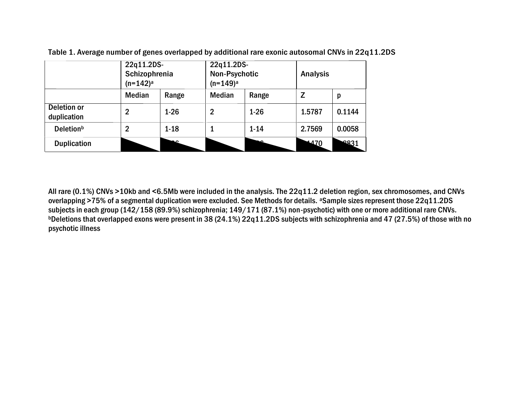|                                   | 22q11.2DS-<br>Schizophrenia<br>$(n=142)^a$ |          | 22q11.2DS-<br><b>Non-Psychotic</b><br>$(n=149)^a$ |          | <b>Analysis</b> |        |
|-----------------------------------|--------------------------------------------|----------|---------------------------------------------------|----------|-----------------|--------|
|                                   | <b>Median</b>                              | Range    | <b>Median</b>                                     | Range    | Z               | p      |
| <b>Deletion or</b><br>duplication | 2                                          | $1 - 26$ | 2                                                 | $1 - 26$ | 1.5787          | 0.1144 |
| <b>Deletion</b> <sup>b</sup>      | $\overline{2}$                             | $1 - 18$ |                                                   | $1 - 14$ | 2.7569          | 0.0058 |
| <b>Duplication</b>                |                                            |          |                                                   |          | 1470            | 2831   |

Table 1. Average number of genes overlapped by additional rare exonic autosomal CNVs in 22q11.2DS

All rare (0.1%) CNVs >10kb and <6.5Mb were included in the analysis. The 22q11.2 deletion region, sex chromosomes, and CNVs overlapping >75% of a segmental duplication were excluded. See Methods for details. <sup>a</sup>Sample sizes represent those 22q11.2DS subjects in each group (142/158 (89.9%) schizophrenia; 149/171 (87.1%) non-psychotic) with one or more additional rare CNVs. bDeletions that overlapped exons were present in 38 (24.1%) 22q11.2DS subjects with schizophrenia and 47 (27.5%) of those with no psychotic illness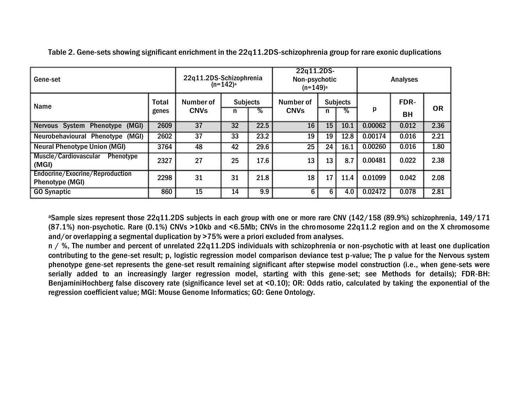| Gene-set                                                  | 22q11.2DS-Schizophrenia<br>$(n=142)^a$ |                          |                      | 22q11.2DS-<br>Non-psychotic<br>$(n=149)^a$ |                          |                           | <b>Analyses</b> |         |            |           |
|-----------------------------------------------------------|----------------------------------------|--------------------------|----------------------|--------------------------------------------|--------------------------|---------------------------|-----------------|---------|------------|-----------|
| <b>Name</b>                                               | <b>Total</b><br>genes                  | Number of<br><b>CNVs</b> | <b>Subjects</b><br>n | $\overline{\%}$                            | Number of<br><b>CNVs</b> | <b>Subjects</b><br>℅<br>n |                 | p       | FDR-<br>BН | <b>OR</b> |
| Nervous System Phenotype (MGI)                            | 2609                                   | 37                       | 32                   | 22.5                                       | 16                       | 15                        | 10.1            | 0.00062 | 0.012      | 2.36      |
| Neurobehavioural Phenotype (MGI)                          | 2602                                   | 37                       | 33                   | 23.2                                       | 19                       | 19                        | 12.8            | 0.00174 | 0.016      | 2.21      |
| <b>Neural Phenotype Union (MGI)</b>                       | 3764                                   | 48                       | 42                   | 29.6                                       | 25                       | 24                        | 16.1            | 0.00260 | 0.016      | 1.80      |
| Muscle/Cardiovascular<br><b>Phenotype</b><br>(MGI)        | 2327                                   | 27                       | 25                   | 17.6                                       | 13                       | 13                        | 8.7             | 0.00481 | 0.022      | 2.38      |
| Endocrine/Exocrine/Reproduction<br><b>Phenotype (MGI)</b> | 2298                                   | 31                       | 31                   | 21.8                                       | 18                       | 17                        | 11.4            | 0.01099 | 0.042      | 2.08      |
| <b>GO Synaptic</b>                                        | 15                                     | 14                       | 9.9                  | 6                                          | 6                        | 4.0                       | 0.02472         | 0.078   | 2.81       |           |

Table 2. Gene-sets showing significant enrichment in the 22q11.2DS-schizophrenia group for rare exonic duplications

<sup>a</sup>Sample sizes represent those 22q11.2DS subjects in each group with one or more rare CNV (142/158 (89.9%) schizophrenia, 149/171 (87.1%) non-psychotic. Rare (0.1%) CNVs >10kb and <6.5Mb; CNVs in the chromosome 22q11.2 region and on the X chromosome and/or overlapping a segmental duplication by >75% were a priori excluded from analyses.

n / %, The number and percent of unrelated 22q11.2DS individuals with schizophrenia or non-psychotic with at least one duplication contributing to the gene-set result; p, logistic regression model comparison deviance test p-value; The p value for the Nervous system phenotype gene-set represents the gene-set result remaining significant after stepwise model construction (i.e., when gene-sets were serially added to an increasingly larger regression model, starting with this gene-set; see Methods for details); FDR-BH: BenjaminiHochberg false discovery rate (significance level set at <0.10); OR: Odds ratio, calculated by taking the exponential of the regression coefficient value; MGI: Mouse Genome Informatics; GO: Gene Ontology.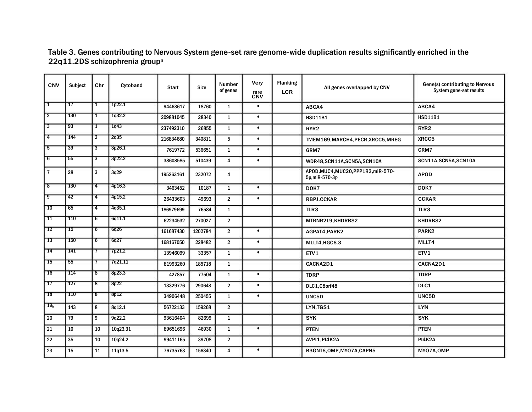Table 3. Genes contributing to Nervous System gene-set rare genome-wide duplication results significantly enriched in the 22q11.2DS schizophrenia group<sup>a</sup>

| <b>CNV</b>      | Subject         | Chr            | Cytoband | <b>Start</b> | Size    | Number<br>of genes | Very<br>rare<br>CNV | <b>Flanking</b><br><b>LCR</b> | All genes overlapped by CNV                           | Gene(s) contributing to Nervous<br>System gene-set results |  |
|-----------------|-----------------|----------------|----------|--------------|---------|--------------------|---------------------|-------------------------------|-------------------------------------------------------|------------------------------------------------------------|--|
| Τ               | 17              | 1              | 1p22.1   | 94463617     | 18760   | $\mathbf{1}$       | $\bullet$           |                               | ABCA4                                                 | ABCA4                                                      |  |
| $\overline{2}$  | 130             | Τ              | 1q32.2   | 209881045    | 28340   | $\mathbf{1}$       | $\bullet$           |                               | <b>HSD11B1</b>                                        | <b>HSD11B1</b>                                             |  |
| उ               | 93              | Τ              | 1q43     | 237492310    | 26855   | $\mathbf{1}$       | $\bullet$           |                               | RYR <sub>2</sub>                                      | RYR <sub>2</sub>                                           |  |
| 7               | 144             | 2              | 2q35     | 216834680    | 340811  | 5                  | $\bullet$           |                               | TMEM169, MARCH4, PECR, XRCC5, MREG                    | XRCC5                                                      |  |
| 5               | $\overline{39}$ | उ              | 3p26.1   | 7619772      | 536651  | $\mathbf{1}$       | $\bullet$           |                               | GRM7                                                  | GRM7                                                       |  |
| ᠊ᡦ              | 55              | उ              | 3p22.2   | 38608585     | 510439  | $\overline{4}$     | $\bullet$           |                               | WDR48,SCN11A,SCN5A,SCN10A                             | SCN11A, SCN5A, SCN10A                                      |  |
| $\overline{7}$  | 28              | $\overline{3}$ | 3q29     | 195263161    | 232072  | 4                  |                     |                               | APOD, MUC4, MUC20, PPP1R2, miR-570-<br>5p, miR-570-3p | <b>APOD</b>                                                |  |
| ष्ठ             | $\sqrt{130}$    | 4              | 4p16.3   | 3463452      | 10187   | $\mathbf{1}$       | $\bullet$           |                               | DOK7                                                  | DOK7                                                       |  |
| ত               | 42              | 74             | 4p15.2   | 26433603     | 49693   | $\overline{2}$     | $\bullet$           |                               | <b>RBPJ,CCKAR</b>                                     | <b>CCKAR</b>                                               |  |
| $\overline{10}$ | 65              | -4             | 4q35.1   | 186979699    | 76584   | $\mathbf{1}$       |                     |                               | TLR3                                                  | TLR3                                                       |  |
| TT              | 110             | 6              | 6q11.1   | 62234532     | 270027  | $\overline{2}$     |                     |                               | MTRNR2L9,KHDRBS2                                      | KHDRBS2                                                    |  |
| 72              | 75              | 6              | 6q26     | 161687430    | 1202784 | $\overline{2}$     | $\bullet$           |                               | AGPAT4, PARK2                                         | PARK <sub>2</sub>                                          |  |
| 73              | 150             | 6              | 6q27     | 168167050    | 228482  | $\overline{2}$     | $\bullet$           |                               | MLLT4, HGC6.3                                         | MLLT4                                                      |  |
| -14             | 141             | 7              | 7p21.2   | 13946099     | 33357   | $\mathbf{1}$       | $\bullet$           |                               | ETV1                                                  | ETV1                                                       |  |
| াচ              | 55              | 7              | 7q21.11  | 81993260     | 185718  | $\mathbf{1}$       |                     |                               | CACNA2D1                                              | CACNA2D1                                                   |  |
| 16              | 114             | ड              | 8p23.3   | 427857       | 77504   | $\mathbf{1}$       | $\bullet$           |                               | <b>TDRP</b>                                           | <b>TDRP</b>                                                |  |
| $\overline{17}$ | 127             | ड              | 8p22     | 13329776     | 290648  | $\overline{2}$     | $\bullet$           |                               | DLC1,C8orf48                                          | DLC1                                                       |  |
| 78              | 110             | ष्ठ            | 8p12     | 34906448     | 250455  | $\mathbf{1}$       | $\bullet$           |                               | UNC5D                                                 | UNC5D                                                      |  |
| 19 <sub>b</sub> | 143             | 8              | 8q12.1   | 56722133     | 159268  | $\overline{2}$     |                     |                               | LYN,TGS1                                              | <b>LYN</b>                                                 |  |
| 20              | 79              | 9              | 9q22.2   | 93616404     | 82699   | $\mathbf{1}$       |                     |                               | <b>SYK</b>                                            | <b>SYK</b>                                                 |  |
| 21              | 10              | 10             | 10q23.31 | 89651696     | 46930   | $\mathbf{1}$       | $\bullet$           |                               | <b>PTEN</b>                                           | <b>PTEN</b>                                                |  |
| 22              | 35              | $10\,$         | 10q24.2  | 99411165     | 39708   | $\overline{2}$     |                     |                               | AVPI1, PI4K2A                                         | <b>PI4K2A</b>                                              |  |
| 23              | 15              | 11             | 11q13.5  | 76735763     | 156340  | $\overline{4}$     | $\bullet$           |                               | B3GNT6.OMP.MYO7A.CAPN5                                | MYO7A, OMP                                                 |  |
|                 |                 |                |          |              |         |                    |                     |                               |                                                       |                                                            |  |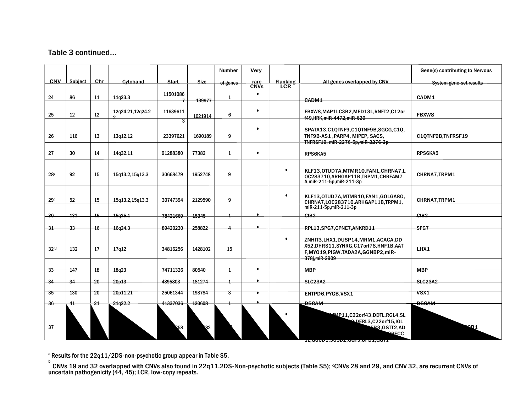# Table 3 continued…

|                   |         |                 |                                    |                 |              | <b>Number</b> | Very                |                               |                                                                                                                                         | Gene(s) contributing to Nervous |
|-------------------|---------|-----------------|------------------------------------|-----------------|--------------|---------------|---------------------|-------------------------------|-----------------------------------------------------------------------------------------------------------------------------------------|---------------------------------|
| <b>CNV</b>        | Subject | Chr             | Cytoband                           | <b>Start</b>    | <b>Size</b>  | of genes      | rare<br><b>CNVs</b> | <b>Flanking</b><br><b>LCR</b> | All genes overlapped by CNV                                                                                                             | System gene-set results         |
| 24                | 86      | 11              | 11g23.3                            | 11501086        | 139977       | $\mathbf{1}$  | $\bullet$           |                               | CADM1                                                                                                                                   | CADM1                           |
| 25                | 12      | 12              | 12q24.21,12q24.2<br>$\overline{2}$ | 11639611        | 1021914      | 6             | $\bullet$           |                               | FBXW8,MAP1LC3B2,MED13L,RNFT2,C12or<br>f49.HRK.miR-4472.miR-620                                                                          | FBXW8                           |
| 26                | 116     | 13              | 13q12.12                           | 3<br>23397621   | 1690189      | 9             | $\bullet$           |                               | SPATA13.C10TNF9.C10TNF9B.SGCG.C10.<br>TNF9B-AS1, PARP4, MIPEP, SACS,<br>TNFRSF19, miR-2276-5p, miR-2276-3p                              | C1QTNF9B,TNFRSF19               |
| 27                | 30      | 14              | 14q32.11                           | 91288380        | 77382        | $\mathbf{1}$  | $\bullet$           |                               | RPS6KA5                                                                                                                                 | RPS6KA5                         |
| 28c               | 92      | 15              | 15q13.2,15q13.3                    | 30668479        | 1952748      | 9             |                     | $\bullet$                     | KLF13,0TUD7A,MTMR10,FAN1,CHRNA7,L<br>OC283710.ARHGAP11B.TRPM1.CHRFAM7<br>A,miR-211-5p,miR-211-3p                                        | CHRNA7, TRPM1                   |
| 29c               | 52      | 15              | 15q13.2,15q13.3                    | 30747394        | 2129590      | 9             |                     | $\bullet$                     | KLF13,0TUD7A,MTMR10,FAN1,GOLGA80,<br>CHRNA7, LOC283710, ARHGAP11B, TRPM1,<br>miR-211-5p, miR-211-3p                                     | CHRNA7, TRPM1                   |
| $-30$             | 131     | 15              | 15g25.1                            | 78421669        | 15345        |               | $\bullet$           |                               | CIB2                                                                                                                                    | CIB <sub>2</sub>                |
| $-31$             | -33     | $\overline{16}$ | 16g24.3                            | 89420230        | 258822       |               |                     |                               | RPL13, SPG7, CPNE7, ANKRD11                                                                                                             | SPG7                            |
| 32 <sub>b,c</sub> | 132     | 17              | 17g12                              | 34816256        | 1428102      | 15            |                     | $\bullet$                     | ZNHIT3, LHX1, DUSP14, MRM1, ACACA, DD<br>X52,DHRS11,SYNRG,C17orf78,HNF1B,AAT<br>F, MYO19, PIGW, TADA2A, GGNBP2, miR-<br>378i, miR-2909  | LHX1                            |
| $-33$             | 147     | 18              | 18g23                              | 74711326        | 80540        |               |                     |                               | <b>MBP</b>                                                                                                                              | <b>MBP</b>                      |
| $-34$             | $-34$   | $-20$           | 20p13                              | 4895803         | 181274       |               |                     |                               | <b>SLC23A2</b>                                                                                                                          | <b>SLC23A2</b>                  |
| -35               | 130     | $20 -$          | 20p11.21                           | 25061344        | 198784       | 3             |                     |                               |                                                                                                                                         | VSX1                            |
|                   |         | 21              |                                    |                 |              |               |                     |                               | ENTPD6, PYGB, VSX1                                                                                                                      | <b>DSCAM</b>                    |
| 36<br>37          | 41      |                 | 21q22.2                            | 41337036<br>158 | 120608<br>82 |               |                     |                               | <b>DSCAM</b><br>MP11,C22orf43,DDTL,RGL4,SL<br>DERL3,C22orf15,IGL<br>EB3, GSTT2, AD<br><b>PECC</b><br>1L, 00001, 00002, 0010, 0101, 0011 | 2R 1                            |

 $a$  Results for the 22q11/2DS-non-psychotic group appear in Table S5.

b CNVs 19 and 32 overlapped with CNVs also found in 22q11.2DS-Non-psychotic subjects (Table S5); °CNVs 28 and 29, and CNV 32, are recurrent CNVs of uncertain pathogenicity (44, 45); LCR, low-copy repeats.